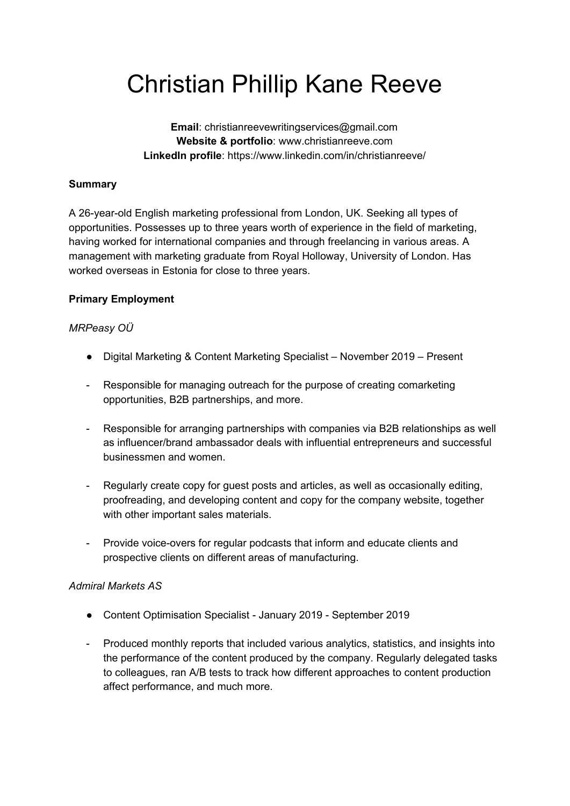# Christian Phillip Kane Reeve

**Email**: christianreevewritingservices@gmail.com **Website & portfolio**: www.christianreeve.com **LinkedIn profile**: https://www.linkedin.com/in/christianreeve/

## **Summary**

A 26-year-old English marketing professional from London, UK. Seeking all types of opportunities. Possesses up to three years worth of experience in the field of marketing, having worked for international companies and through freelancing in various areas. A management with marketing graduate from Royal Holloway, University of London. Has worked overseas in Estonia for close to three years.

### **Primary Employment**

## *MRPeasy OÜ*

- Digital Marketing & Content Marketing Specialist November 2019 Present
- Responsible for managing outreach for the purpose of creating comarketing opportunities, B2B partnerships, and more.
- Responsible for arranging partnerships with companies via B2B relationships as well as influencer/brand ambassador deals with influential entrepreneurs and successful businessmen and women.
- Regularly create copy for guest posts and articles, as well as occasionally editing, proofreading, and developing content and copy for the company website, together with other important sales materials.
- Provide voice-overs for regular podcasts that inform and educate clients and prospective clients on different areas of manufacturing.

### *Admiral Markets AS*

- Content Optimisation Specialist January 2019 September 2019
- Produced monthly reports that included various analytics, statistics, and insights into the performance of the content produced by the company. Regularly delegated tasks to colleagues, ran A/B tests to track how different approaches to content production affect performance, and much more.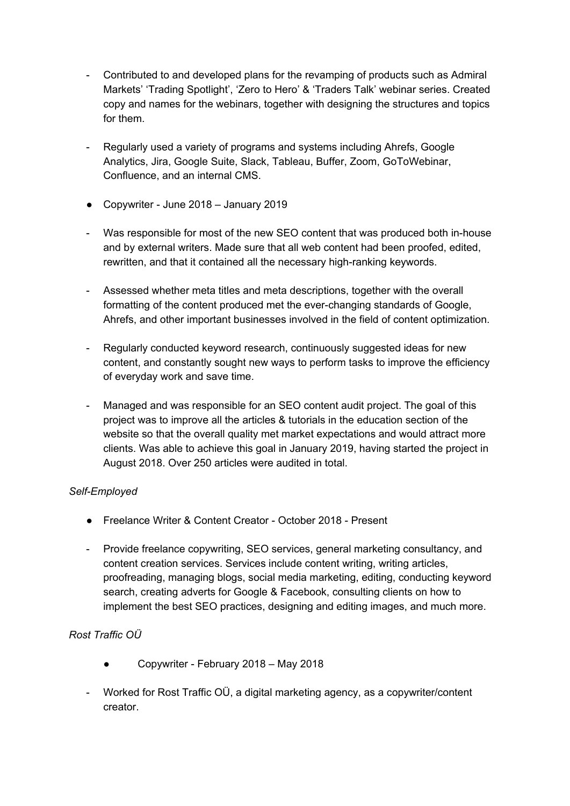- Contributed to and developed plans for the revamping of products such as Admiral Markets' 'Trading Spotlight', 'Zero to Hero' & 'Traders Talk' webinar series. Created copy and names for the webinars, together with designing the structures and topics for them.
- Regularly used a variety of programs and systems including Ahrefs, Google Analytics, Jira, Google Suite, Slack, Tableau, Buffer, Zoom, GoToWebinar, Confluence, and an internal CMS.
- Copywriter June 2018 January 2019
- Was responsible for most of the new SEO content that was produced both in-house and by external writers. Made sure that all web content had been proofed, edited, rewritten, and that it contained all the necessary high-ranking keywords.
- Assessed whether meta titles and meta descriptions, together with the overall formatting of the content produced met the ever-changing standards of Google, Ahrefs, and other important businesses involved in the field of content optimization.
- Regularly conducted keyword research, continuously suggested ideas for new content, and constantly sought new ways to perform tasks to improve the efficiency of everyday work and save time.
- Managed and was responsible for an SEO content audit project. The goal of this project was to improve all the articles & tutorials in the education section of the website so that the overall quality met market expectations and would attract more clients. Was able to achieve this goal in January 2019, having started the project in August 2018. Over 250 articles were audited in total.

### *Self-Employed*

- Freelance Writer & Content Creator October 2018 Present
- Provide freelance copywriting, SEO services, general marketing consultancy, and content creation services. Services include content writing, writing articles, proofreading, managing blogs, social media marketing, editing, conducting keyword search, creating adverts for Google & Facebook, consulting clients on how to implement the best SEO practices, designing and editing images, and much more.

### *Rost Traffic OÜ*

- Copywriter February 2018 May 2018
- Worked for Rost Traffic OÜ, a digital marketing agency, as a copywriter/content creator.